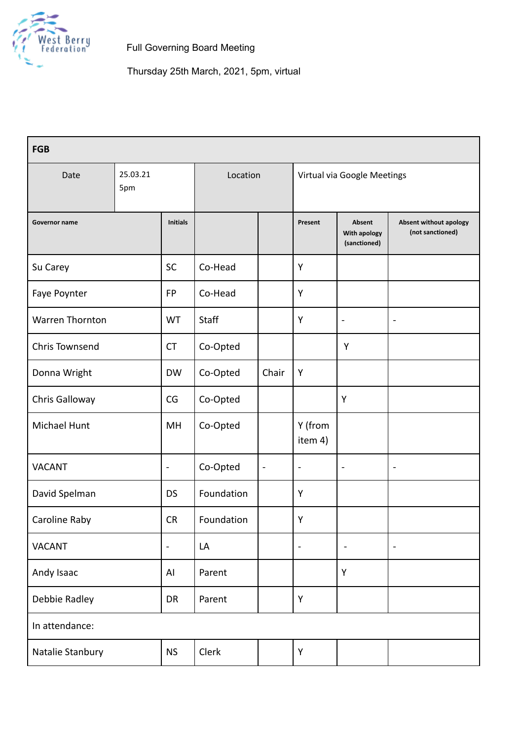

| <b>FGB</b>            |                 |                 |              |                              |                              |                                        |                                            |
|-----------------------|-----------------|-----------------|--------------|------------------------------|------------------------------|----------------------------------------|--------------------------------------------|
| Date                  | 25.03.21<br>5pm |                 | Location     |                              | Virtual via Google Meetings  |                                        |                                            |
| Governor name         |                 | <b>Initials</b> |              |                              | Present                      | Absent<br>With apology<br>(sanctioned) | Absent without apology<br>(not sanctioned) |
| Su Carey              |                 | SC              | Co-Head      |                              | Υ                            |                                        |                                            |
| Faye Poynter          |                 | <b>FP</b>       | Co-Head      |                              | Y                            |                                        |                                            |
| Warren Thornton       |                 | WT              | <b>Staff</b> |                              | Υ                            | $\blacksquare$                         | $\blacksquare$                             |
| <b>Chris Townsend</b> |                 | <b>CT</b>       | Co-Opted     |                              |                              | Y                                      |                                            |
| Donna Wright          |                 | <b>DW</b>       | Co-Opted     | Chair                        | Υ                            |                                        |                                            |
| Chris Galloway        |                 | CG              | Co-Opted     |                              |                              | Υ                                      |                                            |
| Michael Hunt          |                 | MH              | Co-Opted     |                              | Y (from<br>item 4)           |                                        |                                            |
| <b>VACANT</b>         |                 | $\blacksquare$  | Co-Opted     | $\qquad \qquad \blacksquare$ | $\blacksquare$               | $\blacksquare$                         | $\overline{\phantom{a}}$                   |
| David Spelman         |                 | <b>DS</b>       | Foundation   |                              | Y                            |                                        |                                            |
| Caroline Raby         |                 | <b>CR</b>       | Foundation   |                              | Y                            |                                        |                                            |
| <b>VACANT</b>         |                 | $\blacksquare$  | LA           |                              | $\qquad \qquad \blacksquare$ | $\qquad \qquad \blacksquare$           | $\blacksquare$                             |
| Andy Isaac            |                 | AI              | Parent       |                              |                              | Υ                                      |                                            |
| Debbie Radley         |                 | DR              | Parent       |                              | Υ                            |                                        |                                            |
| In attendance:        |                 |                 |              |                              |                              |                                        |                                            |
| Natalie Stanbury      |                 | <b>NS</b>       | Clerk        |                              | Υ                            |                                        |                                            |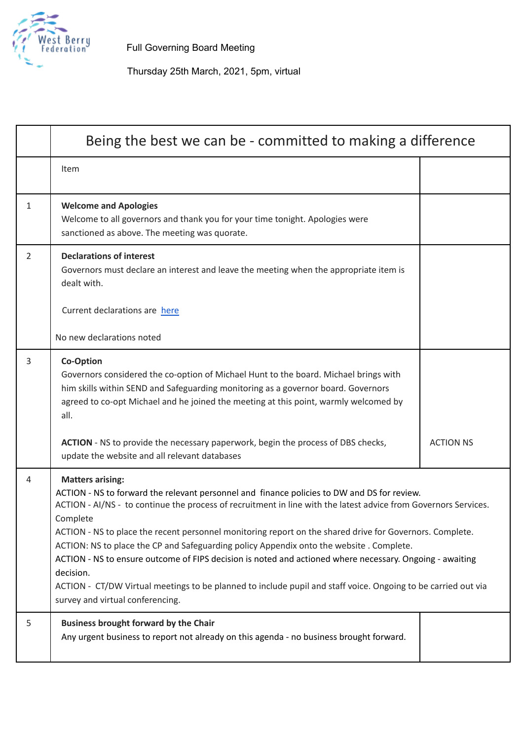

|                | Being the best we can be - committed to making a difference                                                                                                                                                                                                                                                                                                                                                                                                                                                                                                                                                                                                                                                                                 |                  |  |  |
|----------------|---------------------------------------------------------------------------------------------------------------------------------------------------------------------------------------------------------------------------------------------------------------------------------------------------------------------------------------------------------------------------------------------------------------------------------------------------------------------------------------------------------------------------------------------------------------------------------------------------------------------------------------------------------------------------------------------------------------------------------------------|------------------|--|--|
|                | Item                                                                                                                                                                                                                                                                                                                                                                                                                                                                                                                                                                                                                                                                                                                                        |                  |  |  |
| 1              | <b>Welcome and Apologies</b><br>Welcome to all governors and thank you for your time tonight. Apologies were<br>sanctioned as above. The meeting was quorate.                                                                                                                                                                                                                                                                                                                                                                                                                                                                                                                                                                               |                  |  |  |
| $\overline{2}$ | <b>Declarations of interest</b><br>Governors must declare an interest and leave the meeting when the appropriate item is<br>dealt with.                                                                                                                                                                                                                                                                                                                                                                                                                                                                                                                                                                                                     |                  |  |  |
|                | Current declarations are here                                                                                                                                                                                                                                                                                                                                                                                                                                                                                                                                                                                                                                                                                                               |                  |  |  |
|                | No new declarations noted                                                                                                                                                                                                                                                                                                                                                                                                                                                                                                                                                                                                                                                                                                                   |                  |  |  |
| 3              | <b>Co-Option</b><br>Governors considered the co-option of Michael Hunt to the board. Michael brings with<br>him skills within SEND and Safeguarding monitoring as a governor board. Governors<br>agreed to co-opt Michael and he joined the meeting at this point, warmly welcomed by<br>all.                                                                                                                                                                                                                                                                                                                                                                                                                                               |                  |  |  |
|                | ACTION - NS to provide the necessary paperwork, begin the process of DBS checks,<br>update the website and all relevant databases                                                                                                                                                                                                                                                                                                                                                                                                                                                                                                                                                                                                           | <b>ACTION NS</b> |  |  |
| 4              | <b>Matters arising:</b><br>ACTION - NS to forward the relevant personnel and finance policies to DW and DS for review.<br>ACTION - AI/NS - to continue the process of recruitment in line with the latest advice from Governors Services.<br>Complete<br>ACTION - NS to place the recent personnel monitoring report on the shared drive for Governors. Complete.<br>ACTION: NS to place the CP and Safeguarding policy Appendix onto the website . Complete.<br>ACTION - NS to ensure outcome of FIPS decision is noted and actioned where necessary. Ongoing - awaiting<br>decision.<br>ACTION - CT/DW Virtual meetings to be planned to include pupil and staff voice. Ongoing to be carried out via<br>survey and virtual conferencing. |                  |  |  |
| 5              | <b>Business brought forward by the Chair</b><br>Any urgent business to report not already on this agenda - no business brought forward.                                                                                                                                                                                                                                                                                                                                                                                                                                                                                                                                                                                                     |                  |  |  |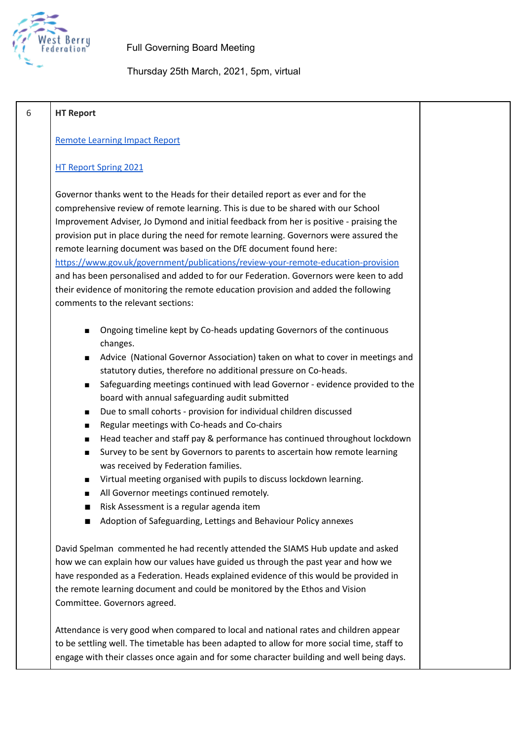

| 6 | <b>HT Report</b>                                                                                                                                                                                                                                                                                                                                                                                                                                                                                                                                                                                                                                                                                                                                                                                                                                                                                                                                                                                                                                                          |  |  |  |  |
|---|---------------------------------------------------------------------------------------------------------------------------------------------------------------------------------------------------------------------------------------------------------------------------------------------------------------------------------------------------------------------------------------------------------------------------------------------------------------------------------------------------------------------------------------------------------------------------------------------------------------------------------------------------------------------------------------------------------------------------------------------------------------------------------------------------------------------------------------------------------------------------------------------------------------------------------------------------------------------------------------------------------------------------------------------------------------------------|--|--|--|--|
|   | <b>Remote Learning Impact Report</b>                                                                                                                                                                                                                                                                                                                                                                                                                                                                                                                                                                                                                                                                                                                                                                                                                                                                                                                                                                                                                                      |  |  |  |  |
|   | <b>HT Report Spring 2021</b>                                                                                                                                                                                                                                                                                                                                                                                                                                                                                                                                                                                                                                                                                                                                                                                                                                                                                                                                                                                                                                              |  |  |  |  |
|   | Governor thanks went to the Heads for their detailed report as ever and for the<br>comprehensive review of remote learning. This is due to be shared with our School<br>Improvement Adviser, Jo Dymond and initial feedback from her is positive - praising the<br>provision put in place during the need for remote learning. Governors were assured the<br>remote learning document was based on the DfE document found here:<br>https://www.gov.uk/government/publications/review-your-remote-education-provision<br>and has been personalised and added to for our Federation. Governors were keen to add<br>their evidence of monitoring the remote education provision and added the following<br>comments to the relevant sections:                                                                                                                                                                                                                                                                                                                                |  |  |  |  |
|   | Ongoing timeline kept by Co-heads updating Governors of the continuous<br>$\blacksquare$<br>changes.<br>Advice (National Governor Association) taken on what to cover in meetings and<br>$\blacksquare$<br>statutory duties, therefore no additional pressure on Co-heads.<br>Safeguarding meetings continued with lead Governor - evidence provided to the<br>$\blacksquare$<br>board with annual safeguarding audit submitted<br>Due to small cohorts - provision for individual children discussed<br>$\blacksquare$<br>Regular meetings with Co-heads and Co-chairs<br>$\blacksquare$<br>Head teacher and staff pay & performance has continued throughout lockdown<br>$\blacksquare$<br>Survey to be sent by Governors to parents to ascertain how remote learning<br>$\blacksquare$<br>was received by Federation families.<br>Virtual meeting organised with pupils to discuss lockdown learning.<br>п<br>All Governor meetings continued remotely.<br>Risk Assessment is a regular agenda item<br>Adoption of Safeguarding, Lettings and Behaviour Policy annexes |  |  |  |  |
|   | David Spelman commented he had recently attended the SIAMS Hub update and asked<br>how we can explain how our values have guided us through the past year and how we<br>have responded as a Federation. Heads explained evidence of this would be provided in<br>the remote learning document and could be monitored by the Ethos and Vision<br>Committee. Governors agreed.                                                                                                                                                                                                                                                                                                                                                                                                                                                                                                                                                                                                                                                                                              |  |  |  |  |
|   | Attendance is very good when compared to local and national rates and children appear<br>to be settling well. The timetable has been adapted to allow for more social time, staff to<br>engage with their classes once again and for some character building and well being days.                                                                                                                                                                                                                                                                                                                                                                                                                                                                                                                                                                                                                                                                                                                                                                                         |  |  |  |  |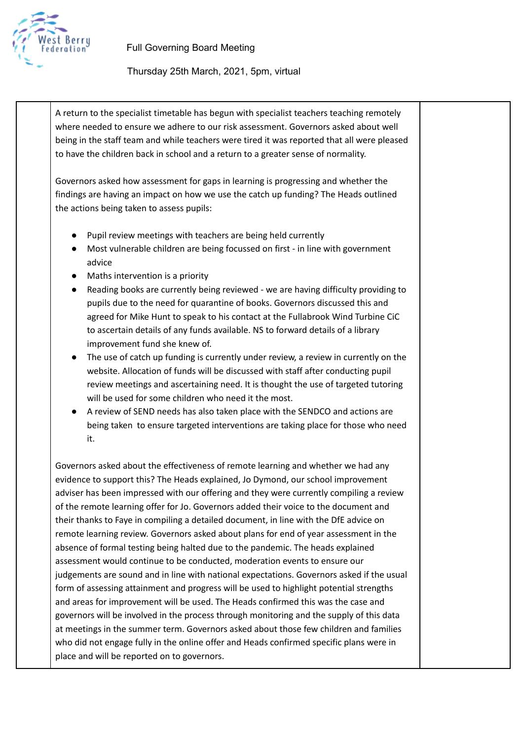

A return to the specialist timetable has begun with specialist teachers teaching remotely where needed to ensure we adhere to our risk assessment. Governors asked about well being in the staff team and while teachers were tired it was reported that all were pleased to have the children back in school and a return to a greater sense of normality.

Governors asked how assessment for gaps in learning is progressing and whether the findings are having an impact on how we use the catch up funding? The Heads outlined the actions being taken to assess pupils:

- Pupil review meetings with teachers are being held currently
- Most vulnerable children are being focussed on first in line with government advice
- Maths intervention is a priority
- Reading books are currently being reviewed we are having difficulty providing to pupils due to the need for quarantine of books. Governors discussed this and agreed for Mike Hunt to speak to his contact at the Fullabrook Wind Turbine CiC to ascertain details of any funds available. NS to forward details of a library improvement fund she knew of.
- The use of catch up funding is currently under review, a review in currently on the website. Allocation of funds will be discussed with staff after conducting pupil review meetings and ascertaining need. It is thought the use of targeted tutoring will be used for some children who need it the most.
- A review of SEND needs has also taken place with the SENDCO and actions are being taken to ensure targeted interventions are taking place for those who need it.

Governors asked about the effectiveness of remote learning and whether we had any evidence to support this? The Heads explained, Jo Dymond, our school improvement adviser has been impressed with our offering and they were currently compiling a review of the remote learning offer for Jo. Governors added their voice to the document and their thanks to Faye in compiling a detailed document, in line with the DfE advice on remote learning review. Governors asked about plans for end of year assessment in the absence of formal testing being halted due to the pandemic. The heads explained assessment would continue to be conducted, moderation events to ensure our judgements are sound and in line with national expectations. Governors asked if the usual form of assessing attainment and progress will be used to highlight potential strengths and areas for improvement will be used. The Heads confirmed this was the case and governors will be involved in the process through monitoring and the supply of this data at meetings in the summer term. Governors asked about those few children and families who did not engage fully in the online offer and Heads confirmed specific plans were in place and will be reported on to governors.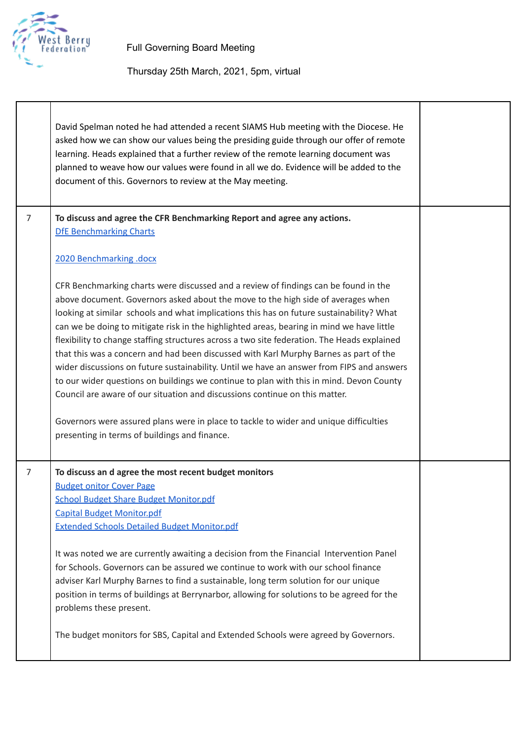

|                | David Spelman noted he had attended a recent SIAMS Hub meeting with the Diocese. He<br>asked how we can show our values being the presiding guide through our offer of remote<br>learning. Heads explained that a further review of the remote learning document was<br>planned to weave how our values were found in all we do. Evidence will be added to the<br>document of this. Governors to review at the May meeting.                                                                                                                                                                                                                                                                                                                                                                                                                                                                                                                                               |  |
|----------------|---------------------------------------------------------------------------------------------------------------------------------------------------------------------------------------------------------------------------------------------------------------------------------------------------------------------------------------------------------------------------------------------------------------------------------------------------------------------------------------------------------------------------------------------------------------------------------------------------------------------------------------------------------------------------------------------------------------------------------------------------------------------------------------------------------------------------------------------------------------------------------------------------------------------------------------------------------------------------|--|
| 7              | To discuss and agree the CFR Benchmarking Report and agree any actions.<br><b>DfE Benchmarking Charts</b>                                                                                                                                                                                                                                                                                                                                                                                                                                                                                                                                                                                                                                                                                                                                                                                                                                                                 |  |
|                | 2020 Benchmarking .docx                                                                                                                                                                                                                                                                                                                                                                                                                                                                                                                                                                                                                                                                                                                                                                                                                                                                                                                                                   |  |
|                | CFR Benchmarking charts were discussed and a review of findings can be found in the<br>above document. Governors asked about the move to the high side of averages when<br>looking at similar schools and what implications this has on future sustainability? What<br>can we be doing to mitigate risk in the highlighted areas, bearing in mind we have little<br>flexibility to change staffing structures across a two site federation. The Heads explained<br>that this was a concern and had been discussed with Karl Murphy Barnes as part of the<br>wider discussions on future sustainability. Until we have an answer from FIPS and answers<br>to our wider questions on buildings we continue to plan with this in mind. Devon County<br>Council are aware of our situation and discussions continue on this matter.<br>Governors were assured plans were in place to tackle to wider and unique difficulties<br>presenting in terms of buildings and finance. |  |
|                |                                                                                                                                                                                                                                                                                                                                                                                                                                                                                                                                                                                                                                                                                                                                                                                                                                                                                                                                                                           |  |
| $\overline{7}$ | To discuss an d agree the most recent budget monitors<br><b>Budget onitor Cover Page</b><br><b>School Budget Share Budget Monitor.pdf</b><br><b>Capital Budget Monitor.pdf</b><br><b>Extended Schools Detailed Budget Monitor.pdf</b>                                                                                                                                                                                                                                                                                                                                                                                                                                                                                                                                                                                                                                                                                                                                     |  |
|                | It was noted we are currently awaiting a decision from the Financial Intervention Panel<br>for Schools. Governors can be assured we continue to work with our school finance<br>adviser Karl Murphy Barnes to find a sustainable, long term solution for our unique<br>position in terms of buildings at Berrynarbor, allowing for solutions to be agreed for the<br>problems these present.                                                                                                                                                                                                                                                                                                                                                                                                                                                                                                                                                                              |  |
|                | The budget monitors for SBS, Capital and Extended Schools were agreed by Governors.                                                                                                                                                                                                                                                                                                                                                                                                                                                                                                                                                                                                                                                                                                                                                                                                                                                                                       |  |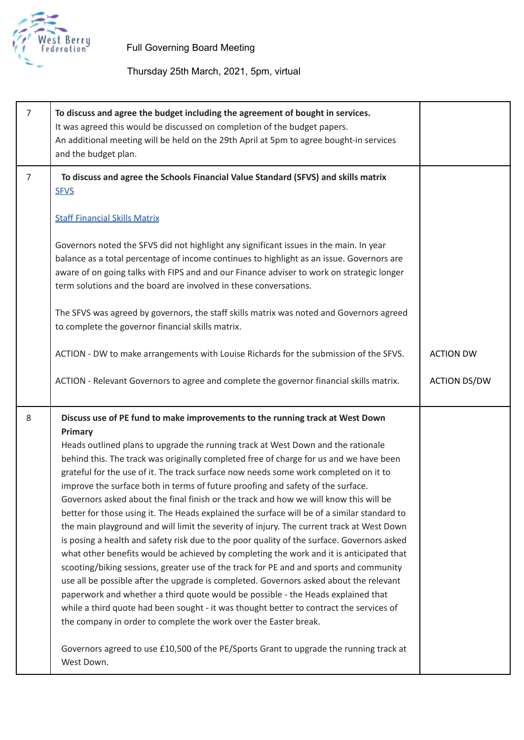

| $\overline{7}$ | To discuss and agree the budget including the agreement of bought in services.<br>It was agreed this would be discussed on completion of the budget papers.<br>An additional meeting will be held on the 29th April at 5pm to agree bought-in services<br>and the budget plan.                                                                                                                                                                                                                                                                                                                                                                                                                                                                                                                                                                                                                                                                                                                                                                                                                                                                                                                                                                                                                                                                                         |                     |
|----------------|------------------------------------------------------------------------------------------------------------------------------------------------------------------------------------------------------------------------------------------------------------------------------------------------------------------------------------------------------------------------------------------------------------------------------------------------------------------------------------------------------------------------------------------------------------------------------------------------------------------------------------------------------------------------------------------------------------------------------------------------------------------------------------------------------------------------------------------------------------------------------------------------------------------------------------------------------------------------------------------------------------------------------------------------------------------------------------------------------------------------------------------------------------------------------------------------------------------------------------------------------------------------------------------------------------------------------------------------------------------------|---------------------|
| $\overline{7}$ | To discuss and agree the Schools Financial Value Standard (SFVS) and skills matrix<br><b>SFVS</b>                                                                                                                                                                                                                                                                                                                                                                                                                                                                                                                                                                                                                                                                                                                                                                                                                                                                                                                                                                                                                                                                                                                                                                                                                                                                      |                     |
|                | <b>Staff Financial Skills Matrix</b><br>Governors noted the SFVS did not highlight any significant issues in the main. In year<br>balance as a total percentage of income continues to highlight as an issue. Governors are<br>aware of on going talks with FIPS and and our Finance adviser to work on strategic longer                                                                                                                                                                                                                                                                                                                                                                                                                                                                                                                                                                                                                                                                                                                                                                                                                                                                                                                                                                                                                                               |                     |
|                | term solutions and the board are involved in these conversations.<br>The SFVS was agreed by governors, the staff skills matrix was noted and Governors agreed                                                                                                                                                                                                                                                                                                                                                                                                                                                                                                                                                                                                                                                                                                                                                                                                                                                                                                                                                                                                                                                                                                                                                                                                          |                     |
|                | to complete the governor financial skills matrix.<br>ACTION - DW to make arrangements with Louise Richards for the submission of the SFVS.                                                                                                                                                                                                                                                                                                                                                                                                                                                                                                                                                                                                                                                                                                                                                                                                                                                                                                                                                                                                                                                                                                                                                                                                                             | <b>ACTION DW</b>    |
|                | ACTION - Relevant Governors to agree and complete the governor financial skills matrix.                                                                                                                                                                                                                                                                                                                                                                                                                                                                                                                                                                                                                                                                                                                                                                                                                                                                                                                                                                                                                                                                                                                                                                                                                                                                                | <b>ACTION DS/DW</b> |
| 8              | Discuss use of PE fund to make improvements to the running track at West Down<br>Primary<br>Heads outlined plans to upgrade the running track at West Down and the rationale<br>behind this. The track was originally completed free of charge for us and we have been<br>grateful for the use of it. The track surface now needs some work completed on it to<br>improve the surface both in terms of future proofing and safety of the surface.<br>Governors asked about the final finish or the track and how we will know this will be<br>better for those using it. The Heads explained the surface will be of a similar standard to<br>the main playground and will limit the severity of injury. The current track at West Down<br>is posing a health and safety risk due to the poor quality of the surface. Governors asked<br>what other benefits would be achieved by completing the work and it is anticipated that<br>scooting/biking sessions, greater use of the track for PE and and sports and community<br>use all be possible after the upgrade is completed. Governors asked about the relevant<br>paperwork and whether a third quote would be possible - the Heads explained that<br>while a third quote had been sought - it was thought better to contract the services of<br>the company in order to complete the work over the Easter break. |                     |
|                | Governors agreed to use £10,500 of the PE/Sports Grant to upgrade the running track at<br>West Down.                                                                                                                                                                                                                                                                                                                                                                                                                                                                                                                                                                                                                                                                                                                                                                                                                                                                                                                                                                                                                                                                                                                                                                                                                                                                   |                     |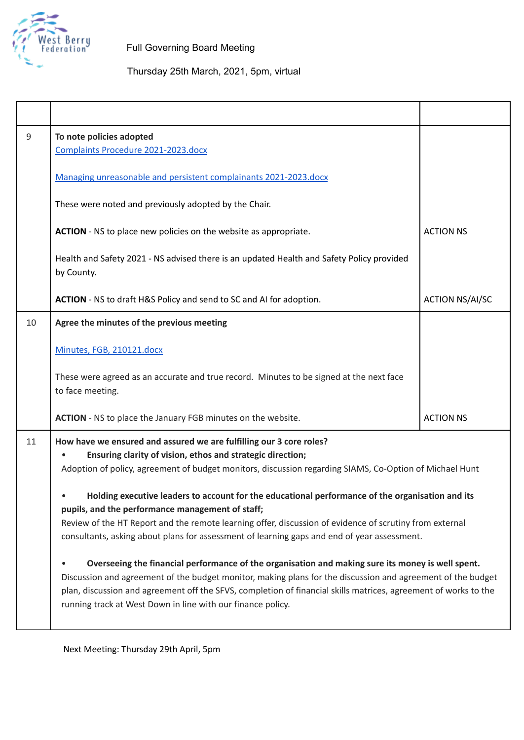

| 9  | To note policies adopted<br>Complaints Procedure 2021-2023.docx                                                                                                                                                                                                                                                                                                                                                                                                                                                                                                                                                                                                                                                                                                                                                                    |                        |
|----|------------------------------------------------------------------------------------------------------------------------------------------------------------------------------------------------------------------------------------------------------------------------------------------------------------------------------------------------------------------------------------------------------------------------------------------------------------------------------------------------------------------------------------------------------------------------------------------------------------------------------------------------------------------------------------------------------------------------------------------------------------------------------------------------------------------------------------|------------------------|
|    | Managing unreasonable and persistent complainants 2021-2023.docx                                                                                                                                                                                                                                                                                                                                                                                                                                                                                                                                                                                                                                                                                                                                                                   |                        |
|    | These were noted and previously adopted by the Chair.                                                                                                                                                                                                                                                                                                                                                                                                                                                                                                                                                                                                                                                                                                                                                                              |                        |
|    | ACTION - NS to place new policies on the website as appropriate.                                                                                                                                                                                                                                                                                                                                                                                                                                                                                                                                                                                                                                                                                                                                                                   | <b>ACTION NS</b>       |
|    | Health and Safety 2021 - NS advised there is an updated Health and Safety Policy provided<br>by County.                                                                                                                                                                                                                                                                                                                                                                                                                                                                                                                                                                                                                                                                                                                            |                        |
|    | ACTION - NS to draft H&S Policy and send to SC and AI for adoption.                                                                                                                                                                                                                                                                                                                                                                                                                                                                                                                                                                                                                                                                                                                                                                | <b>ACTION NS/AI/SC</b> |
| 10 | Agree the minutes of the previous meeting                                                                                                                                                                                                                                                                                                                                                                                                                                                                                                                                                                                                                                                                                                                                                                                          |                        |
|    | Minutes, FGB, 210121.docx                                                                                                                                                                                                                                                                                                                                                                                                                                                                                                                                                                                                                                                                                                                                                                                                          |                        |
|    | These were agreed as an accurate and true record. Minutes to be signed at the next face<br>to face meeting.                                                                                                                                                                                                                                                                                                                                                                                                                                                                                                                                                                                                                                                                                                                        |                        |
|    | <b>ACTION</b> - NS to place the January FGB minutes on the website.                                                                                                                                                                                                                                                                                                                                                                                                                                                                                                                                                                                                                                                                                                                                                                | <b>ACTION NS</b>       |
| 11 | How have we ensured and assured we are fulfilling our 3 core roles?<br>Ensuring clarity of vision, ethos and strategic direction;<br>Adoption of policy, agreement of budget monitors, discussion regarding SIAMS, Co-Option of Michael Hunt<br>Holding executive leaders to account for the educational performance of the organisation and its<br>pupils, and the performance management of staff;<br>Review of the HT Report and the remote learning offer, discussion of evidence of scrutiny from external<br>consultants, asking about plans for assessment of learning gaps and end of year assessment.<br>Overseeing the financial performance of the organisation and making sure its money is well spent.<br>Discussion and agreement of the budget monitor, making plans for the discussion and agreement of the budget |                        |
|    | plan, discussion and agreement off the SFVS, completion of financial skills matrices, agreement of works to the<br>running track at West Down in line with our finance policy.                                                                                                                                                                                                                                                                                                                                                                                                                                                                                                                                                                                                                                                     |                        |